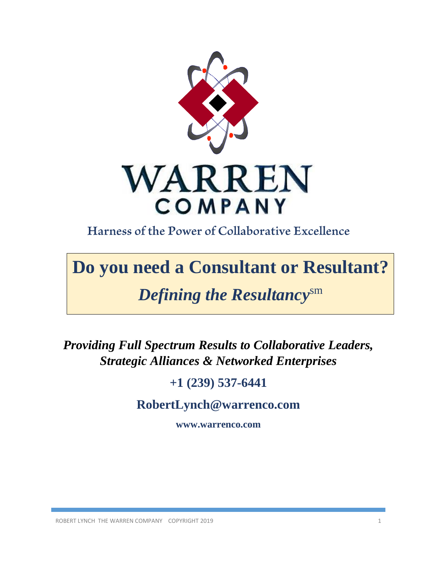

Harness of the Power of Collaborative Excellence

# **Do you need a Consultant or Resultant?**

# *Defining the Resultancy*sm

*Providing Full Spectrum Results to Collaborative Leaders, Strategic Alliances & Networked Enterprises*

# **+1 (239) 537-6441**

**RobertLynch@warrenco.com**

**www.warrenco.com**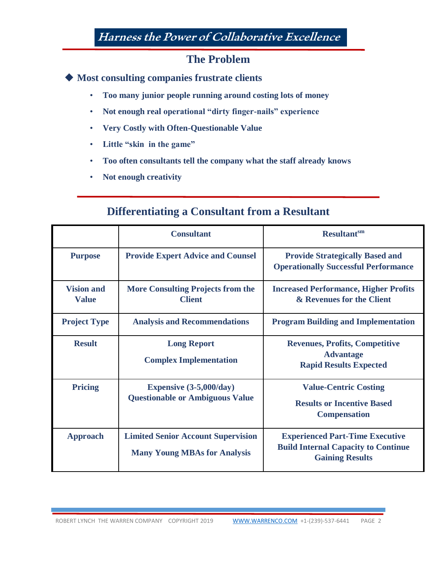# Harness the Power of Collaborative Excellence

## **The Problem**

**Most consulting companies frustrate clients**

- **Too many junior people running around costing lots of money**
- **Not enough real operational "dirty finger-nails" experience**
- **Very Costly with Often-Questionable Value**
- **Little "skin in the game"**
- **Too often consultants tell the company what the staff already knows**
- **Not enough creativity**

## **Differentiating a Consultant from a Resultant**

|                                   | <b>Consultant</b>                                                                | <b>Resultant</b> sm                                                                                            |
|-----------------------------------|----------------------------------------------------------------------------------|----------------------------------------------------------------------------------------------------------------|
| <b>Purpose</b>                    | <b>Provide Expert Advice and Counsel</b>                                         | <b>Provide Strategically Based and</b><br><b>Operationally Successful Performance</b>                          |
| <b>Vision and</b><br><b>Value</b> | <b>More Consulting Projects from the</b><br><b>Client</b>                        | <b>Increased Performance, Higher Profits</b><br>& Revenues for the Client                                      |
| <b>Project Type</b>               | <b>Analysis and Recommendations</b>                                              | <b>Program Building and Implementation</b>                                                                     |
| <b>Result</b>                     | <b>Long Report</b><br><b>Complex Implementation</b>                              | <b>Revenues, Profits, Competitive</b><br><b>Advantage</b><br><b>Rapid Results Expected</b>                     |
| <b>Pricing</b>                    | Expensive $(3-5,000/day)$<br><b>Questionable or Ambiguous Value</b>              | <b>Value-Centric Costing</b><br><b>Results or Incentive Based</b><br><b>Compensation</b>                       |
| <b>Approach</b>                   | <b>Limited Senior Account Supervision</b><br><b>Many Young MBAs for Analysis</b> | <b>Experienced Part-Time Executive</b><br><b>Build Internal Capacity to Continue</b><br><b>Gaining Results</b> |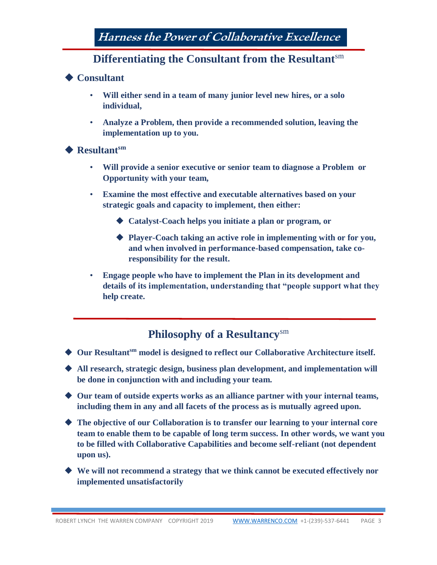## **Differentiating the Consultant from the Resultant**sm

#### ◆ Consultant

- **Will either send in a team of many junior level new hires, or a solo individual,**
- **Analyze a Problem, then provide a recommended solution, leaving the implementation up to you.**

#### **Resultantsm**

- **Will provide a senior executive or senior team to diagnose a Problem or Opportunity with your team,**
- **Examine the most effective and executable alternatives based on your strategic goals and capacity to implement, then either:** 
	- **Catalyst-Coach helps you initiate a plan or program, or**
	- **Player-Coach taking an active role in implementing with or for you, and when involved in performance-based compensation, take coresponsibility for the result.**
- **Engage people who have to implement the Plan in its development and details of its implementation, understanding that "people support what they help create.**

## **Philosophy of a Resultancy**sm

- ◆ Our Resultant<sup>sm</sup> model is designed to reflect our Collaborative Architecture itself.
- **All research, strategic design, business plan development, and implementation will be done in conjunction with and including your team.**
- ◆ Our team of outside experts works as an alliance partner with your internal teams, **including them in any and all facets of the process as is mutually agreed upon.**
- **The objective of our Collaboration is to transfer our learning to your internal core team to enable them to be capable of long term success. In other words, we want you to be filled with Collaborative Capabilities and become self-reliant (not dependent upon us).**
- **We will not recommend a strategy that we think cannot be executed effectively nor implemented unsatisfactorily**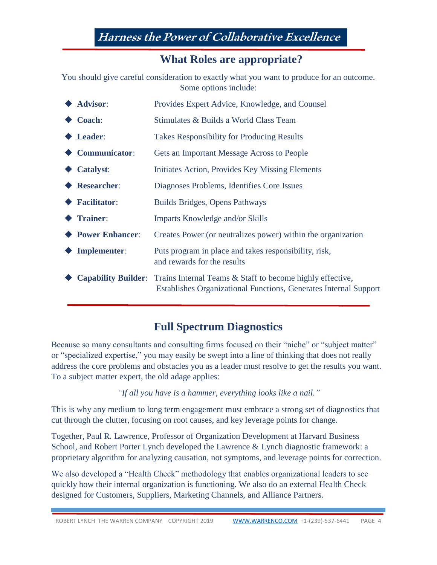Harness the Power of Collaborative Excellence

### **What Roles are appropriate?**

You should give careful consideration to exactly what you want to produce for an outcome. Some options include:

| Advisor:                      | Provides Expert Advice, Knowledge, and Counsel                                                                                                           |
|-------------------------------|----------------------------------------------------------------------------------------------------------------------------------------------------------|
| $\blacklozenge$ Coach:        | Stimulates & Builds a World Class Team                                                                                                                   |
| $\blacklozenge$ Leader:       | <b>Takes Responsibility for Producing Results</b>                                                                                                        |
| $\blacklozenge$ Communicator: | <b>Gets an Important Message Across to People</b>                                                                                                        |
| $\blacklozenge$ Catalyst:     | Initiates Action, Provides Key Missing Elements                                                                                                          |
| ◆ Researcher:                 | Diagnoses Problems, Identifies Core Issues                                                                                                               |
| $\blacklozenge$ Facilitator:  | Builds Bridges, Opens Pathways                                                                                                                           |
| <b>◆ Trainer:</b>             | Imparts Knowledge and/or Skills                                                                                                                          |
| ◆ Power Enhancer:             | Creates Power (or neutralizes power) within the organization                                                                                             |
| $\blacklozenge$ Implementer:  | Puts program in place and takes responsibility, risk,<br>and rewards for the results                                                                     |
|                               | <b>Capability Builder:</b> Trains Internal Teams & Staff to become highly effective,<br>Establishes Organizational Functions, Generates Internal Support |
|                               |                                                                                                                                                          |

## **Full Spectrum Diagnostics**

Because so many consultants and consulting firms focused on their "niche" or "subject matter" or "specialized expertise," you may easily be swept into a line of thinking that does not really address the core problems and obstacles you as a leader must resolve to get the results you want. To a subject matter expert, the old adage applies:

*"If all you have is a hammer, everything looks like a nail."*

This is why any medium to long term engagement must embrace a strong set of diagnostics that cut through the clutter, focusing on root causes, and key leverage points for change.

Together, Paul R. Lawrence, Professor of Organization Development at Harvard Business School, and Robert Porter Lynch developed the Lawrence & Lynch diagnostic framework: a proprietary algorithm for analyzing causation, not symptoms, and leverage points for correction.

We also developed a "Health Check" methodology that enables organizational leaders to see quickly how their internal organization is functioning. We also do an external Health Check designed for Customers, Suppliers, Marketing Channels, and Alliance Partners.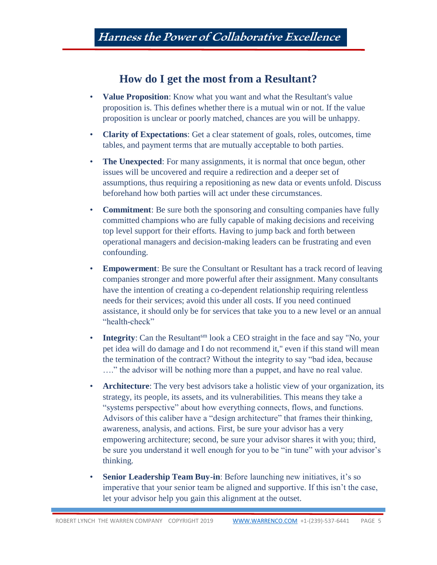## **How do I get the most from a Resultant?**

- **Value Proposition**: Know what you want and what the Resultant's value proposition is. This defines whether there is a mutual win or not. If the value proposition is unclear or poorly matched, chances are you will be unhappy.
- **Clarity of Expectations**: Get a clear statement of goals, roles, outcomes, time tables, and payment terms that are mutually acceptable to both parties.
- **The Unexpected:** For many assignments, it is normal that once begun, other issues will be uncovered and require a redirection and a deeper set of assumptions, thus requiring a repositioning as new data or events unfold. Discuss beforehand how both parties will act under these circumstances.
- **Commitment**: Be sure both the sponsoring and consulting companies have fully committed champions who are fully capable of making decisions and receiving top level support for their efforts. Having to jump back and forth between operational managers and decision-making leaders can be frustrating and even confounding.
- **Empowerment**: Be sure the Consultant or Resultant has a track record of leaving companies stronger and more powerful after their assignment. Many consultants have the intention of creating a co-dependent relationship requiring relentless needs for their services; avoid this under all costs. If you need continued assistance, it should only be for services that take you to a new level or an annual "health-check"
- **Integrity**: Can the Resultant<sup>sm</sup> look a CEO straight in the face and say "No, your pet idea will do damage and I do not recommend it," even if this stand will mean the termination of the contract? Without the integrity to say "bad idea, because …." the advisor will be nothing more than a puppet, and have no real value.
- **Architecture**: The very best advisors take a holistic view of your organization, its strategy, its people, its assets, and its vulnerabilities. This means they take a "systems perspective" about how everything connects, flows, and functions. Advisors of this caliber have a "design architecture" that frames their thinking, awareness, analysis, and actions. First, be sure your advisor has a very empowering architecture; second, be sure your advisor shares it with you; third, be sure you understand it well enough for you to be "in tune" with your advisor's thinking.
- **Senior Leadership Team Buy-in**: Before launching new initiatives, it's so imperative that your senior team be aligned and supportive. If this isn't the case, let your advisor help you gain this alignment at the outset.